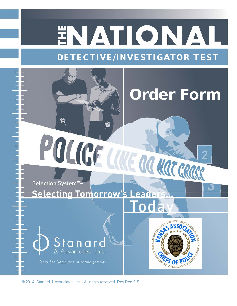## ENATIONAL DETECTIVE/INVESTIGATOR TEST

Order Form

**HIFFS OF P** 

# POLICE LIVE ROUGHER Selection System™-

 $\mathbf{C}$ 

## **Selecting Tomorrow's Leader**

## Stanar & Associates, Inc.

Data for Decisions in Management

© 2014, Stanard & Associates, Inc. All rights reserved. Rev Dec. '15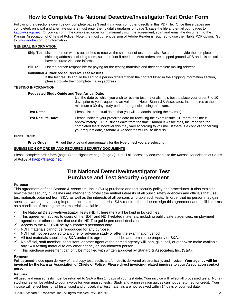#### **How to Complete The National Detective/Investigator Test Order Form**

Following the directions given below, complete pages 3 and 4 via your computer directly in this PDF file. Once these pages are completed, principal and alternate signers must enter their digital signatures on page 3, save the file and email both pages to kacp@ksacp.net. Or you can print the completed order form, manually sign the agreement, scan and email the document to the Kansas Association of Chiefs of Police. Note: the most current version of Adobe Reader is required to use the fillable PDF option. Go to www.adobe.com for information.

#### **GENERAL INFORMATION**

- **Ship To:** List the person who is authorized to receive the shipment of test materials. Be sure to provide the complete shipping address, including room, suite, or floor if needed. Most orders are shipped ground UPS and it is critical to have accurate zip code information.
- **Bill To:** List the person responsible for paying for the testing materials and their complete mailing address.

#### **Individual Authorized to Receive Test Results:**

If the test results should be sent to a person different than the contact listed in the shipping information section, please provide their complete mailing address.

#### **TESTING INFORMATION**

#### **Requested Study Guide and Test Arrival Date:**

|                           | List the date by which you wish to receive test materials. It is best to place your order 7 to 10<br>days prior to your requested arrival date. Note: Stanard & Associates, Inc. requires at the<br>minimum a 30-day study period for agencies using the exam.                                                                                     |
|---------------------------|----------------------------------------------------------------------------------------------------------------------------------------------------------------------------------------------------------------------------------------------------------------------------------------------------------------------------------------------------|
| <b>Test Dates:</b>        | Please list the actual dates that you will be administering the exam(s).                                                                                                                                                                                                                                                                           |
| <b>Test Results Date:</b> | Please indicate your preferred date for receiving the exam results. Turnaround time is<br>approximately 5-10 business days from the time Stanard & Associates, Inc. receives the<br>completed tests; however this may vary according to volume. If there is a conflict concerning<br>your request date, Stanard & Associates will call to discuss. |

#### **PRICE GRIDS**

**Price Grids:** Fill out the price grid appropriately for the type of test you are selecting.

#### **SUBMISSION OF ORDER AND REQUIRED SECURITY DOCUMENTS**

Please complete order form (page 4) and signature page (page 3). Email all necessary documents to the Kansas Association of Chiefs of Police at kacp@ksacp.net.

#### **The National Detective/Investigator Test Purchase and Test Security Agreement**

#### **Purpose**

This agreement defines Stanard & Associate, Inc.'s (S&A) purchase and test security policy and procedures. It also explains how the test security guidelines are intended to protect the mutual interests of all public safety agencies and officials that use test materials obtained from S&A, as well as the interests of all persons who take such tests. In order that no person may gain special advantage by having improper access to the material, S&A requires that all users sign this agreement and fulfill its terms as a condition of making the test materials available.

- The National Detective/Investigator Tests (NDIT, hereafter) will be kept in locked files.
- $\checkmark$  This agreement applies to users of the NDIT and NDIT-related materials, including public safety agencies, employment agencies, or other entities that use the NDIT to guide personnel decisions.
- Access to the NDIT will be by authorized personnel only.
- NDIT materials cannot be reproduced for any purpose.
- NDIT will not be supplied to anyone for advance study or after the examination period.
- All test materials supplied by S&A under this agreement shall be and remain the property of S&A.
- $\checkmark$  No official, staff member, consultant, or other agent of the named agency will loan, give, sell, or otherwise make available any S&A testing material to any other agency or unauthorized person.
- $\checkmark$  This purchase agreement can only be modified with written approval by Stanard & Associates, Inc. (S&A).

#### **Payment**

Full payment is due upon delivery of hard copy test results and/or results delivered electronically, and invoice. **Your agency will be invoiced by the Kansas Association of Chiefs of Police. Please direct invoicing-related inquires to your Association contact person.** 

#### **Returns**

All used and unused tests must be returned to S&A within 14 days of your test date. Your invoice will reflect all processed tests. No restocking fee will be added to your invoice for your unused tests. Study and administration guides can not be returned for credit. Your invoice will reflect fees for all tests, used and unused, if all test materials are not received within 14 days of your test date.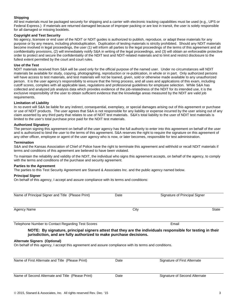#### **Shipping**

All test materials must be packaged securely for shipping and a carrier with electronic tracking capabilities must be used (e.g., UPS or Federal Express.) If materials are returned damaged because of improper packing or are lost in transit, the user is solely responsible for all damaged or missing booklets.

#### **Copyright and Test Security**

No agency, licensee or end user of the NDIT or NDIT guides is authorized to publish, reproduce, or adapt these materials for any purpose or by any means, including photoduplication. Duplication of testing materials is strictly prohibited. Should any NDIT materials become involved in legal proceedings, the user (1) will inform all parties to the legal proceedings of the terms of this agreement and all confidentiality provisions, (2) will immediately notify S&A in writing of the legal proceedings, and (3) will obtain an enforceable protective order to protect and secure the confidentiality of the NDIT test and NDIT-related materials and to limit and restrict disclosure to the fullest extent permitted by the court and court rules.

#### **Use of the Test**

NDIT materials received from S&A will be used only for the official purpose of the named user. Under no circumstances will NDIT materials be available for study, copying, photographing, reproduction or re-publication, in whole or in part. Only authorized persons will have access to test materials, and test materials will not be loaned, given, sold or otherwise made available to any unauthorized person. It is the user agency's responsibility to ensure that the hiring process, and all uses and applications of this exam, including cutoff scores, complies with all applicable laws, regulations and professional guidelines for employee selection. While S&A has collected and analyzed job analysis data which provides evidence of the job-relatedness of the NDIT for its intended use, it is the exclusive responsibility of the user to obtain sufficient evidence that the knowledge areas measured by the NDIT are valid job requirements.

#### **Limitation of Liability**

In no event will S&A be liable for any indirect, consequential, exemplary, or special damages arising out of this agreement or purchase or use of NDIT products. The user agrees that S&A is not responsible for any liability or expense incurred by the user arising out of any claim asserted by any third party that relates to use of NDIT test materials. S&A's total liability to the user of NDIT test materials is limited to the user's total purchase price paid for the NDIT test materials.

#### **Authorized Signatory**

The person signing this agreement on behalf of the user agency has the full authority to enter into this agreement on behalf of the user and is authorized to bind the user to the terms of this agreement. S&A reserves the right to require the signature on this agreement of any other officer, employee or agent of the user agency who is now, or later becomes, responsible for test administration.

#### **Termination**

S&A and the Kansas Association of Chief of Police have the right to terminate this agreement and withhold or recall NDIT materials if terms and conditions of this agreement are believed to have been violated.

To maintain the reliability and validity of the NDIT, the individual who signs this agreement accepts, on behalf of the agency, to comply with the terms and conditions of the purchase and security agreement.

#### **Parties to the Agreement**

The parties to this Test Security Agreement are Stanard & Associates Inc. and the public agency named below.

#### **Principal Signer**

On behalf of this agency, I accept and assure compliance with its terms and conditions:

| Name of Principal Signer and Title (Please Print)                                                                                                                                 | Date | Signature of Principal Signer |       |  |
|-----------------------------------------------------------------------------------------------------------------------------------------------------------------------------------|------|-------------------------------|-------|--|
| Agency Name                                                                                                                                                                       | City |                               | State |  |
| Telephone Number to Contact Regarding Test Scores                                                                                                                                 |      | Email                         |       |  |
| NOTE: By signature, principal signers attest that they are the individuals responsible for testing in their<br>jurisdiction, and are fully authorized to make purchase decisions. |      |                               |       |  |
| <b>Alternate Signers (Optional)</b><br>On behalf of this agency, I accept this agreement and assure compliance with its terms and conditions.                                     |      |                               |       |  |
| Name of First Alternate and Title (Please Print)                                                                                                                                  | Date | Signature of First Alternate  |       |  |

| Name of Second Alternate and Title (Please Print) | Date | Signature of Second Alternate |
|---------------------------------------------------|------|-------------------------------|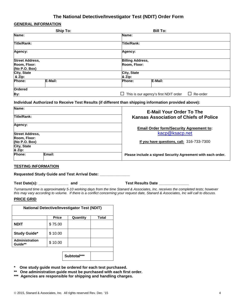#### **The National Detective/Investigator Test (NDIT) Order Form**

#### **GENERAL INFORMATION**

| Ship To:                                          |         |                    | <b>Bill To:</b> |  |  |
|---------------------------------------------------|---------|--------------------|-----------------|--|--|
| Name:                                             |         | Name:              |                 |  |  |
| <b>Title/Rank:</b>                                |         | <b>Title/Rank:</b> |                 |  |  |
| Agency:                                           |         | Agency:            |                 |  |  |
| <b>Street Address,</b><br><b>Billing Address,</b> |         |                    |                 |  |  |
| Room, Floor:<br>(No P.O. Box)                     |         | Room, Floor:       |                 |  |  |
| City, State<br>City, State<br>& Zip:<br>& Zip:    |         |                    |                 |  |  |
| Phone:                                            | E-Mail: | Phone:             | E-Mail:         |  |  |
| Ordered                                           |         |                    |                 |  |  |
| This is our agency's first NDIT order<br>By:<br>Ш |         | Re-order           |                 |  |  |

#### **Individual Authorized to Receive Test Results (if different than shipping information provided above):**

| Name:                  |        | <b>E-Mail Your Order To The</b>                             |
|------------------------|--------|-------------------------------------------------------------|
| Title/Rank:            |        | <b>Kansas Association of Chiefs of Police</b>               |
| Agency:                |        | <b>Email Order form/Security Agreement to:</b>              |
| <b>Street Address,</b> |        | kacp@ksacp.net                                              |
| Room, Floor:           |        |                                                             |
| (No P.O. Box)          |        | If you have questions, call: $316-733-7300$                 |
| <b>City, State</b>     |        |                                                             |
| & Zip:                 |        |                                                             |
| <b>Phone:</b>          | Email: | Please include a signed Security Agreement with each order. |

#### **TESTING INFORMATION**

**Requested Study Guide and Test Arrival Date: \_\_\_\_\_\_\_\_\_\_\_\_\_\_** 

#### **Test Date(s): \_\_\_\_\_\_\_\_\_\_\_\_\_\_ and \_\_\_\_\_\_\_\_\_\_\_\_\_\_ Test Results Date \_\_\_\_\_\_\_\_\_\_\_\_\_\_**

*Turnaround time is approximately 5-10 working days from the time Stanard & Associates, Inc. receives the completed tests; however this may vary according to volume. If there is a conflict concerning your request date, Stanard & Associates, Inc will call to discuss.*

#### **PRICE GRID**

| <b>National Detective/Investigator Test (NDIT)</b> |              |          |       |
|----------------------------------------------------|--------------|----------|-------|
|                                                    | <b>Price</b> | Quantity | Total |
| <b>NDIT</b>                                        | \$75.00      |          |       |
| <b>Study Guide*</b>                                | \$10.00      |          |       |
| Administration<br>Guide**                          | \$10.00      |          |       |
|                                                    |              |          |       |

**Subtotal\*\*\***

- **\* One study guide must be ordered for each test purchased.**
- **\*\* One administration guide must be purchased with each first order.**
- **\*\*\* Agencies are responsible for shipping and handling charges.**